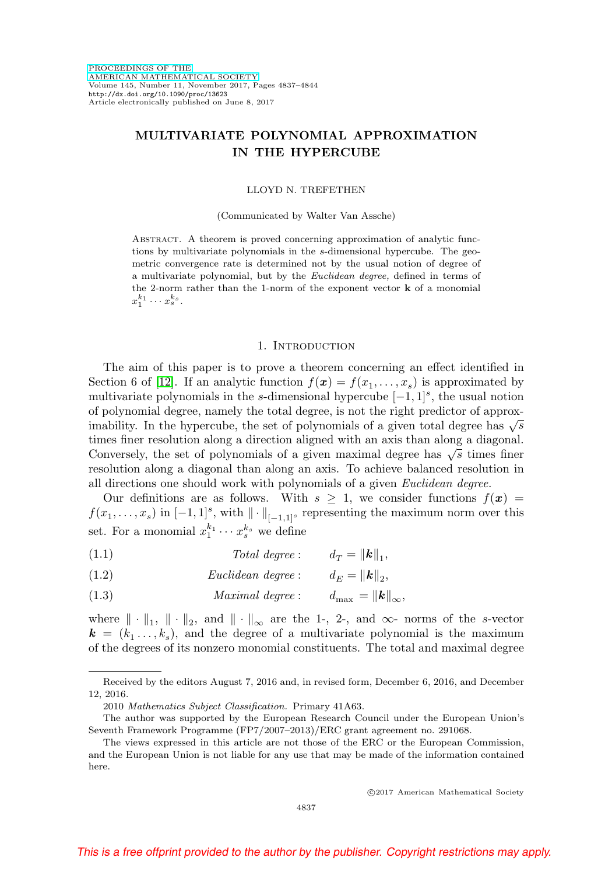# **MULTIVARIATE POLYNOMIAL APPROXIMATION IN THE HYPERCUBE**

#### LLOYD N. TREFETHEN

#### (Communicated by Walter Van Assche)

Abstract. A theorem is proved concerning approximation of analytic functions by multivariate polynomials in the s-dimensional hypercube. The geometric convergence rate is determined not by the usual notion of degree of a multivariate polynomial, but by the Euclidean degree, defined in terms of the 2-norm rather than the 1-norm of the exponent vector **k** of a monomial  $x_1^{k_1}\cdots x_s^{k_s}.$ 

#### 1. INTRODUCTION

The aim of this paper is to prove a theorem concerning an effect identified in Section 6 of [\[12\]](#page-7-0). If an analytic function  $f(\mathbf{x}) = f(x_1, \ldots, x_s)$  is approximated by multivariate polynomials in the s-dimensional hypercube  $[-1, 1]$ <sup>s</sup>, the usual notion of polynomial degree, namely the total degree, is not the right predictor of approximability. In the hypercube, the set of polynomials of a given total degree has  $\sqrt{s}$ times finer resolution along a direction aligned with an axis than along a diagonal. Conversely, the set of polynomials of a given maximal degree has  $\sqrt{s}$  times finer resolution along a diagonal than along an axis. To achieve balanced resolution in all directions one should work with polynomials of a given Euclidean degree.

Our definitions are as follows. With  $s \geq 1$ , we consider functions  $f(x) =$  $f(x_1,\ldots,x_s)$  in  $[-1,1]^s$ , with  $\|\cdot\|_{[-1,1]^s}$  representing the maximum norm over this set. For a monomial  $x_1^{k_1} \cdots x_s^{k_s}$  we define

- (1.1)  $Total degree: \quad d_T = ||\mathbf{k}||_1,$
- (1.2)  $Euclidean \ degree: \qquad d_E = ||\mathbf{k}||_2,$
- (1.3)  $Maximal \ degree: \qquad d_{\text{max}} = ||\mathbf{k}||_{\infty},$

where  $\|\cdot\|_1$ ,  $\|\cdot\|_2$ , and  $\|\cdot\|_{\infty}$  are the 1-, 2-, and  $\infty$ - norms of the s-vector  $\mathbf{k} = (k_1, \ldots, k_s)$ , and the degree of a multivariate polynomial is the maximum of the degrees of its nonzero monomial constituents. The total and maximal degree

Received by the editors August 7, 2016 and, in revised form, December 6, 2016, and December 12, 2016.

<sup>2010</sup> Mathematics Subject Classification. Primary 41A63.

The author was supported by the European Research Council under the European Union's Seventh Framework Programme (FP7/2007–2013)/ERC grant agreement no. 291068.

The views expressed in this article are not those of the ERC or the European Commission, and the European Union is not liable for any use that may be made of the information contained here.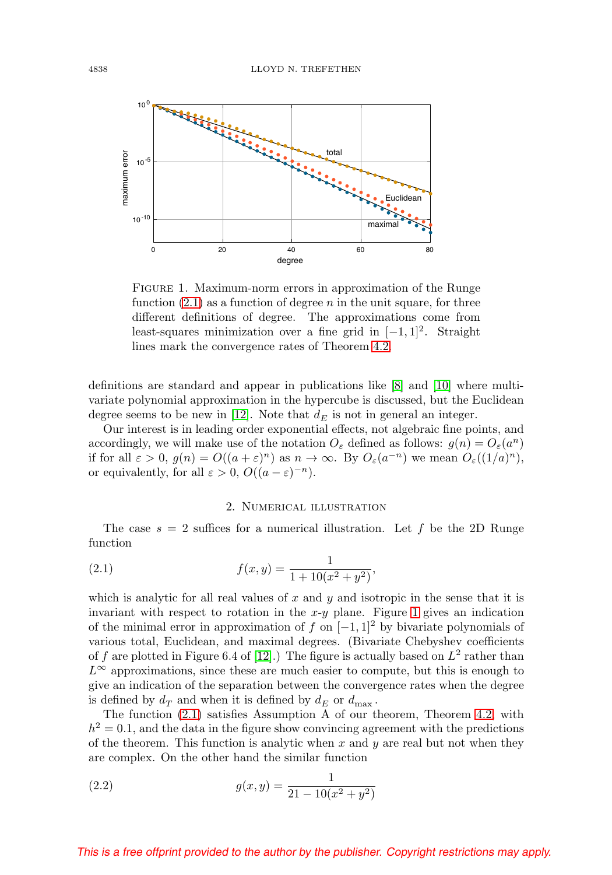

<span id="page-1-1"></span>FIGURE 1. Maximum-norm errors in approximation of the Runge function  $(2.1)$  as a function of degree n in the unit square, for three different definitions of degree. The approximations come from least-squares minimization over a fine grid in  $[-1, 1]^2$ . Straight lines mark the convergence rates of Theorem [4.2.](#page-3-0)

definitions are standard and appear in publications like [\[8\]](#page-6-0) and [\[10\]](#page-7-1) where multivariate polynomial approximation in the hypercube is discussed, but the Euclidean degree seems to be new in [\[12\]](#page-7-0). Note that  $d_E$  is not in general an integer.

Our interest is in leading order exponential effects, not algebraic fine points, and accordingly, we will make use of the notation  $O_{\varepsilon}$  defined as follows:  $g(n) = O_{\varepsilon}(a^n)$ if for all  $\varepsilon > 0$ ,  $g(n) = O((a + \varepsilon)^n)$  as  $n \to \infty$ . By  $O_{\varepsilon}(a^{-n})$  we mean  $O_{\varepsilon}((1/a)^n)$ , or equivalently, for all  $\varepsilon > 0$ ,  $O((a - \varepsilon)^{-n})$ .

#### 2. Numerical illustration

The case  $s = 2$  suffices for a numerical illustration. Let f be the 2D Runge function

<span id="page-1-0"></span>(2.1) 
$$
f(x,y) = \frac{1}{1 + 10(x^2 + y^2)},
$$

which is analytic for all real values of x and  $y$  and isotropic in the sense that it is invariant with respect to rotation in the  $x-y$  plane. Figure [1](#page-1-1) gives an indication of the minimal error in approximation of f on  $[-1, 1]^2$  by bivariate polynomials of various total, Euclidean, and maximal degrees. (Bivariate Chebyshev coefficients of f are plotted in Figure 6.4 of [\[12\]](#page-7-0).) The figure is actually based on  $L^2$  rather than  $L^{\infty}$  approximations, since these are much easier to compute, but this is enough to give an indication of the separation between the convergence rates when the degree is defined by  $d_T$  and when it is defined by  $d_E$  or  $d_{\text{max}}$ .

The function [\(2.1\)](#page-1-0) satisfies Assumption A of our theorem, Theorem [4.2,](#page-3-0) with  $h^2 = 0.1$ , and the data in the figure show convincing agreement with the predictions of the theorem. This function is analytic when x and y are real but not when they are complex. On the other hand the similar function

(2.2) 
$$
g(x,y) = \frac{1}{21 - 10(x^2 + y^2)}
$$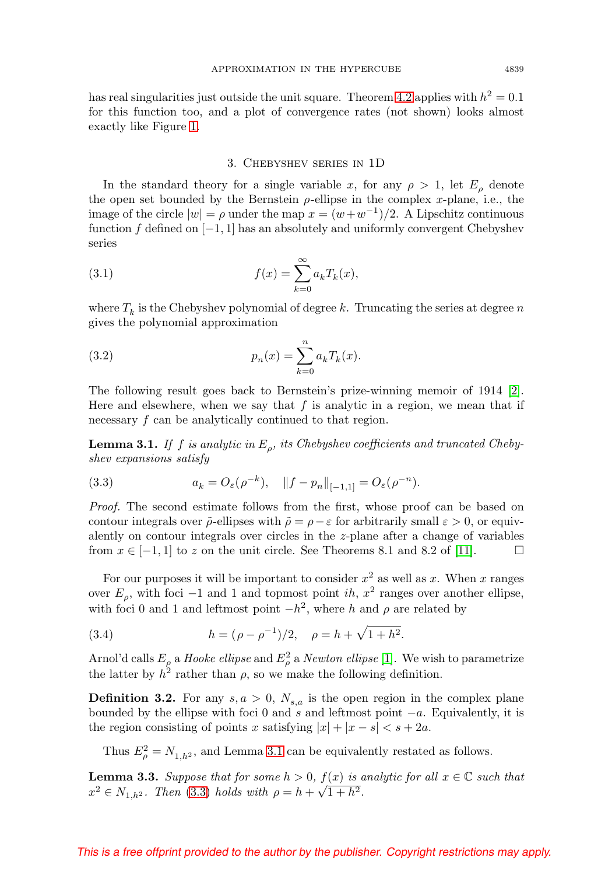has real singularities just outside the unit square. Theorem [4.2](#page-3-0) applies with  $h^2 = 0.1$ for this function too, and a plot of convergence rates (not shown) looks almost exactly like Figure [1.](#page-1-1)

### 3. Chebyshev series in 1D

In the standard theory for a single variable x, for any  $\rho > 1$ , let  $E<sub>o</sub>$  denote the open set bounded by the Bernstein  $\rho$ -ellipse in the complex x-plane, i.e., the image of the circle  $|w| = \rho$  under the map  $x = (w+w^{-1})/2$ . A Lipschitz continuous function f defined on  $[-1, 1]$  has an absolutely and uniformly convergent Chebyshev series

(3.1) 
$$
f(x) = \sum_{k=0}^{\infty} a_k T_k(x),
$$

where  $T_k$  is the Chebyshev polynomial of degree  $k$  . Truncating the series at degree  $n$ gives the polynomial approximation

(3.2) 
$$
p_n(x) = \sum_{k=0}^n a_k T_k(x).
$$

The following result goes back to Bernstein's prize-winning memoir of 1914 [\[2\]](#page-6-1). Here and elsewhere, when we say that  $f$  is analytic in a region, we mean that if necessary f can be analytically continued to that region.

<span id="page-2-0"></span>**Lemma 3.1.** If f is analytic in  $E<sub>o</sub>$ , its Chebyshev coefficients and truncated Chebyshev expansions satisfy

<span id="page-2-1"></span>(3.3) 
$$
a_k = O_{\varepsilon}(\rho^{-k}), \quad \|f - p_n\|_{[-1,1]} = O_{\varepsilon}(\rho^{-n}).
$$

Proof. The second estimate follows from the first, whose proof can be based on contour integrals over  $\tilde{\rho}$ -ellipses with  $\tilde{\rho} = \rho - \varepsilon$  for arbitrarily small  $\varepsilon > 0$ , or equivalently on contour integrals over circles in the z-plane after a change of variables from  $x \in [-1, 1]$  to z on the unit circle. See Theorems 8.1 and 8.2 of [\[11\]](#page-7-2).  $\Box$ 

For our purposes it will be important to consider  $x^2$  as well as x. When x ranges over  $E<sub>o</sub>$ , with foci −1 and 1 and topmost point ih,  $x<sup>2</sup>$  ranges over another ellipse, with foci 0 and 1 and leftmost point  $-h^2$ , where h and  $\rho$  are related by

(3.4) 
$$
h = (\rho - \rho^{-1})/2, \quad \rho = h + \sqrt{1 + h^2}.
$$

Arnol'd calls  $E_{\rho}$  a *Hooke ellipse* and  $E_{\rho}^2$  a *Newton ellipse* [\[1\]](#page-6-2). We wish to parametrize the latter by  $h^2$  rather than  $\rho$ , so we make the following definition.

**Definition 3.2.** For any  $s, a > 0$ ,  $N_{s,a}$  is the open region in the complex plane bounded by the ellipse with foci 0 and s and leftmost point  $-a$ . Equivalently, it is the region consisting of points x satisfying  $|x| + |x - s| < s + 2a$ .

Thus  $E_{\rho}^2 = N_{1,h^2}$ , and Lemma [3.1](#page-2-0) can be equivalently restated as follows.

<span id="page-2-2"></span>**Lemma 3.3.** Suppose that for some  $h > 0$ ,  $f(x)$  is analytic for all  $x \in \mathbb{C}$  such that  $x^2 \in N_{1,h^2}$ . Then [\(3.3\)](#page-2-1) holds with  $\rho = h + \sqrt{1+h^2}$ .

# This is a free offprint provided to the author by the publisher. Copyright restrictions may apply.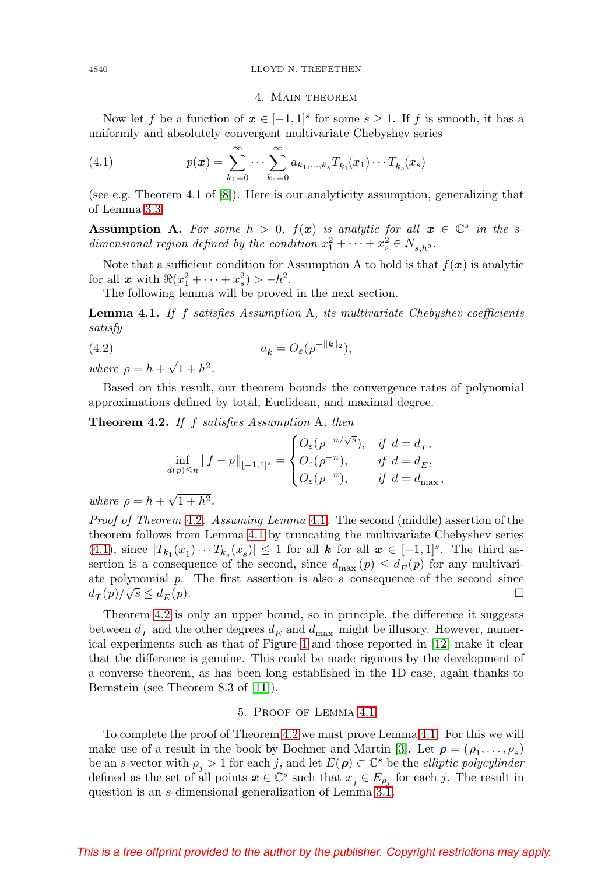#### 4. Main theorem

Now let f be a function of  $x \in [-1,1]^s$  for some  $s \geq 1$ . If f is smooth, it has a uniformly and absolutely convergent multivariate Chebyshev series

<span id="page-3-2"></span>(4.1) 
$$
p(\boldsymbol{x}) = \sum_{k_1=0}^{\infty} \cdots \sum_{k_s=0}^{\infty} a_{k_1,\ldots,k_s} T_{k_1}(x_1) \cdots T_{k_s}(x_s)
$$

(see e.g. Theorem 4.1 of [\[8\]](#page-6-0)). Here is our analyticity assumption, generalizing that of Lemma [3.3.](#page-2-2)

**Assumption A.** For some  $h > 0$ ,  $f(x)$  is analytic for all  $x \in \mathbb{C}^s$  in the sdimensional region defined by the condition  $x_1^2 + \cdots + x_s^2 \in N_{s,h^2}$ .

Note that a sufficient condition for Assumption A to hold is that  $f(\mathbf{x})$  is analytic for all **x** with  $\Re(x_1^2 + \cdots + x_s^2) > -h^2$ .

The following lemma will be proved in the next section.

<span id="page-3-1"></span>**Lemma 4.1.** If f satisfies Assumption A, its multivariate Chebyshev coefficients satisfy

<span id="page-3-3"></span>
$$
(4.2) \t\t a_k = O_{\varepsilon}(\rho^{-\|k\|_2}),
$$

where  $\rho = h + \sqrt{1 + h^2}$ .

Based on this result, our theorem bounds the convergence rates of polynomial approximations defined by total, Euclidean, and maximal degree.

<span id="page-3-0"></span>**Theorem 4.2.** If f satisfies Assumption A, then

$$
\inf_{d(p)\leq n} \|f-p\|_{[-1,1]^s} = \begin{cases} O_{\varepsilon}(\rho^{-n/\sqrt{s}}), & \text{if } d = d_T, \\ O_{\varepsilon}(\rho^{-n}), & \text{if } d = d_E, \\ O_{\varepsilon}(\rho^{-n}), & \text{if } d = d_{\max}, \end{cases}
$$

where  $\rho = h + \sqrt{1 + h^2}$ .

Proof of Theorem [4.2](#page-3-0). Assuming Lemma [4.1](#page-3-1). The second (middle) assertion of the theorem follows from Lemma [4.1](#page-3-1) by truncating the multivariate Chebyshev series [\(4.1\)](#page-3-2), since  $|T_{k_1}(x_1)\cdots T_{k_s}(x_s)| \leq 1$  for all  $k$  for all  $x \in [-1,1]^s$ . The third assertion is a consequence of the second, since  $d_{\text{max}}(p) \leq d_E(p)$  for any multivariate polynomial  $p$ . The first assertion is also a consequence of the second since  $d_T(p)/\sqrt{s} \leq d_E(p).$ 

Theorem [4.2](#page-3-0) is only an upper bound, so in principle, the difference it suggests between  $d_T$  and the other degrees  $d_E$  and  $d_{\text{max}}$  might be illusory. However, numerical experiments such as that of Figure [1](#page-1-1) and those reported in [\[12\]](#page-7-0) make it clear that the difference is genuine. This could be made rigorous by the development of a converse theorem, as has been long established in the 1D case, again thanks to Bernstein (see Theorem 8.3 of [\[11\]](#page-7-2)).

### 5. Proof of Lemma [4.1](#page-3-1)

To complete the proof of Theorem [4.2](#page-3-0) we must prove Lemma [4.1.](#page-3-1) For this we will make use of a result in the book by Bochner and Martin [\[3\]](#page-6-3). Let  $\rho = (\rho_1, \ldots, \rho_s)$ be an s-vector with  $\rho_j > 1$  for each j, and let  $E(\rho) \subset \mathbb{C}^s$  be the *elliptic polycylinder* defined as the set of all points  $x \in \mathbb{C}^s$  such that  $x_i \in E_{\rho_i}$  for each j. The result in question is an s-dimensional generalization of Lemma [3.1.](#page-2-0)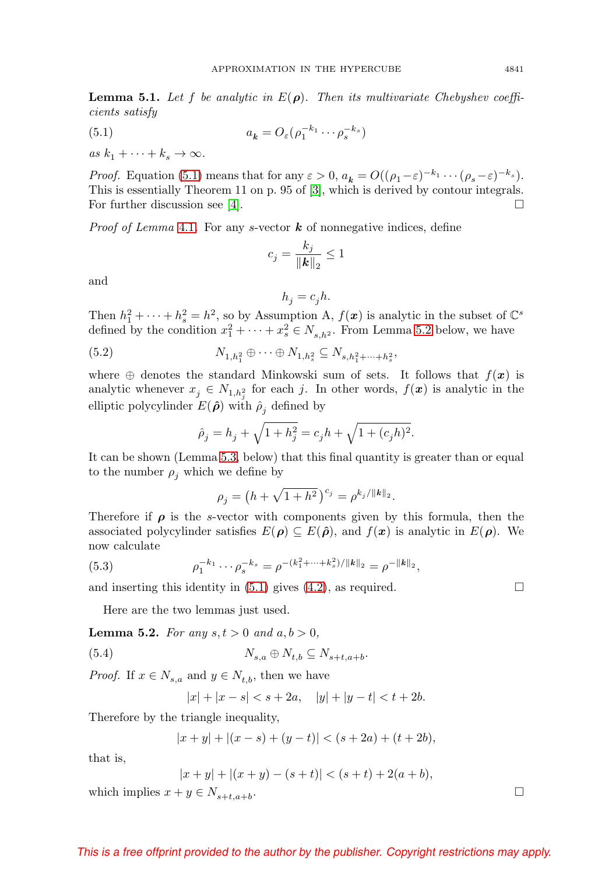**Lemma 5.1.** Let f be analytic in  $E(\rho)$ . Then its multivariate Chebyshev coefficients satisfy

<span id="page-4-0"></span>(5.1) 
$$
a_{k} = O_{\varepsilon}(\rho_{1}^{-k_{1}} \cdots \rho_{s}^{-k_{s}})
$$

as  $k_1 + \cdots + k_s \rightarrow \infty$ .

*Proof.* Equation [\(5.1\)](#page-4-0) means that for any  $\varepsilon > 0$ ,  $a_k = O((\rho_1 - \varepsilon)^{-k_1} \cdots (\rho_s - \varepsilon)^{-k_s}).$ This is essentially Theorem 11 on p. 95 of [\[3\]](#page-6-3), which is derived by contour integrals. For further discussion see [\[4\]](#page-6-4).  $\Box$ 

*Proof of Lemma* [4.1](#page-3-1). For any *s*-vector  $\boldsymbol{k}$  of nonnegative indices, define

$$
c_j = \frac{k_j}{\|\mathbf{k}\|_2} \le 1
$$

and

$$
h_j = c_j h.
$$

Then  $h_1^2 + \cdots + h_s^2 = h^2$ , so by Assumption A,  $f(\mathbf{x})$  is analytic in the subset of  $\mathbb{C}^s$ defined by the condition  $x_1^2 + \cdots + x_s^2 \in N_{s,h^2}$ . From Lemma [5.2](#page-4-1) below, we have

(5.2) 
$$
N_{1,h_1^2} \oplus \cdots \oplus N_{1,h_s^2} \subseteq N_{s,h_1^2 + \cdots + h_s^2},
$$

where  $\oplus$  denotes the standard Minkowski sum of sets. It follows that  $f(x)$  is analytic whenever  $x_j \in N_{1,h_j^2}$  for each j. In other words,  $f(\boldsymbol{x})$  is analytic in the elliptic polycylinder  $E(\hat{\rho})$  with  $\hat{\rho}_i$  defined by

$$
\hat{\rho}_j = h_j + \sqrt{1 + h_j^2} = c_j h + \sqrt{1 + (c_j h)^2}.
$$

It can be shown (Lemma [5.3,](#page-5-0) below) that this final quantity is greater than or equal to the number  $\rho_i$  which we define by

$$
\rho_j = \left(h + \sqrt{1 + h^2}\right)^{c_j} = \rho^{k_j / \|k\|_2}.
$$

Therefore if  $\rho$  is the s-vector with components given by this formula, then the associated polycylinder satisfies  $E(\rho) \subseteq E(\hat{\rho})$ , and  $f(x)$  is analytic in  $E(\rho)$ . We now calculate

(5.3) 
$$
\rho_1^{-k_1} \cdots \rho_s^{-k_s} = \rho^{-(k_1^2 + \cdots + k_s^2)/\|k\|_2} = \rho^{-\|k\|_2},
$$

and inserting this identity in [\(5.1\)](#page-4-0) gives [\(4.2\)](#page-3-3), as required.  $\Box$ 

Here are the two lemmas just used.

<span id="page-4-1"></span>**Lemma 5.2.** For any  $s, t > 0$  and  $a, b > 0$ ,

$$
(5.4) \t\t N_{s,a} \oplus N_{t,b} \subseteq N_{s+t,a+b}.
$$

*Proof.* If  $x \in N_{s,a}$  and  $y \in N_{t,b}$ , then we have

$$
|x| + |x - s| < s + 2a, \quad |y| + |y - t| < t + 2b.
$$

Therefore by the triangle inequality,

$$
|x + y| + |(x - s) + (y - t)| < (s + 2a) + (t + 2b),
$$

that is,

$$
|x + y| + |(x + y) - (s + t)| < (s + t) + 2(a + b),
$$

which implies  $x + y \in N_{s+t, a+b}$ .

# This is a free offprint provided to the author by the publisher. Copyright restrictions may apply.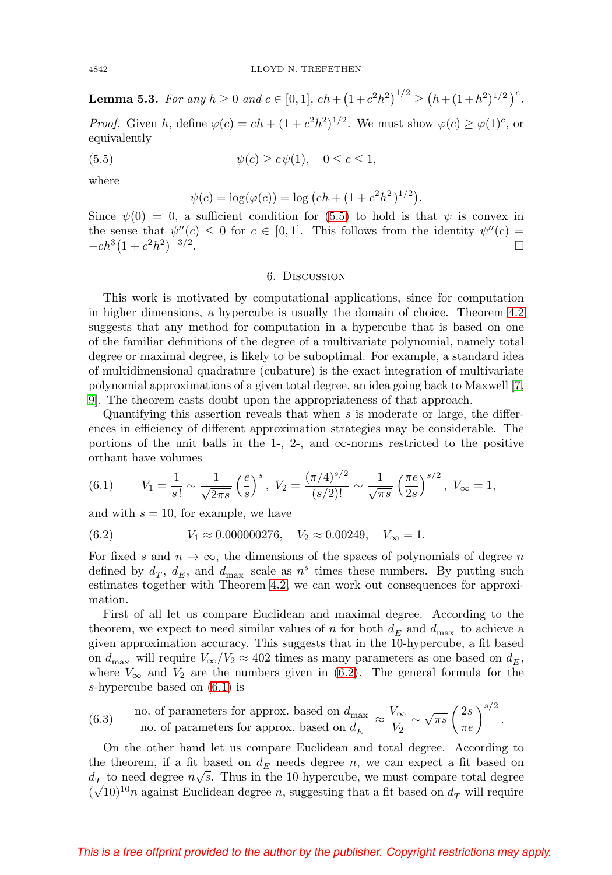<span id="page-5-0"></span>**Lemma 5.3.** For any  $h \ge 0$  and  $c \in [0,1]$ ,  $ch + (1 + c^2h^2)^{1/2} \ge (h + (1 + h^2)^{1/2})^c$ .

*Proof.* Given h, define  $\varphi(c) = ch + (1 + c^2h^2)^{1/2}$ . We must show  $\varphi(c) \geq \varphi(1)^c$ , or equivalently

<span id="page-5-1"></span>(5.5)  $\psi(c) > c\psi(1), \quad 0 < c < 1,$ 

where

$$
\psi(c) = \log(\varphi(c)) = \log\left(ch + (1 + c^2h^2)^{1/2}\right).
$$

Since  $\psi(0) = 0$ , a sufficient condition for [\(5.5\)](#page-5-1) to hold is that  $\psi$  is convex in the sense that  $\psi''(c) \leq 0$  for  $c \in [0,1]$ . This follows from the identity  $\psi''(c) = -cb^3(1+c^2b^2)^{-3/2}$  $-ch^3(1 + c^2h^2)^{-3/2}$ .

### 6. Discussion

This work is motivated by computational applications, since for computation in higher dimensions, a hypercube is usually the domain of choice. Theorem [4.2](#page-3-0) suggests that any method for computation in a hypercube that is based on one of the familiar definitions of the degree of a multivariate polynomial, namely total degree or maximal degree, is likely to be suboptimal. For example, a standard idea of multidimensional quadrature (cubature) is the exact integration of multivariate polynomial approximations of a given total degree, an idea going back to Maxwell [\[7,](#page-6-5) [9\]](#page-7-3). The theorem casts doubt upon the appropriateness of that approach.

Quantifying this assertion reveals that when  $s$  is moderate or large, the differences in efficiency of different approximation strategies may be considerable. The portions of the unit balls in the 1-, 2-, and  $\infty$ -norms restricted to the positive orthant have volumes

<span id="page-5-3"></span>(6.1) 
$$
V_1 = \frac{1}{s!} \sim \frac{1}{\sqrt{2\pi s}} \left(\frac{e}{s}\right)^s, \ V_2 = \frac{(\pi/4)^{s/2}}{(s/2)!} \sim \frac{1}{\sqrt{\pi s}} \left(\frac{\pi e}{2s}\right)^{s/2}, \ V_{\infty} = 1,
$$

and with  $s = 10$ , for example, we have

<span id="page-5-2"></span>(6.2) 
$$
V_1 \approx 0.000000276, V_2 \approx 0.00249, V_{\infty} = 1.
$$

For fixed s and  $n \to \infty$ , the dimensions of the spaces of polynomials of degree n defined by  $d_T$ ,  $d_E$ , and  $d_{\text{max}}$  scale as  $n^s$  times these numbers. By putting such estimates together with Theorem [4.2,](#page-3-0) we can work out consequences for approximation.

First of all let us compare Euclidean and maximal degree. According to the theorem, we expect to need similar values of n for both  $d_E$  and  $d_{\text{max}}$  to achieve a given approximation accuracy. This suggests that in the 10-hypercube, a fit based on  $d_{\text{max}}$  will require  $V_{\infty}/V_2 \approx 402$  times as many parameters as one based on  $d_E$ , where  $V_{\infty}$  and  $V_2$  are the numbers given in [\(6.2\)](#page-5-2). The general formula for the s-hypercube based on [\(6.1\)](#page-5-3) is

<span id="page-5-4"></span>(6.3) no. of parameters for approx. based on 
$$
d_{\text{max}} \approx \frac{V_{\infty}}{V_2} \sim \sqrt{\pi s} \left(\frac{2s}{\pi e}\right)^{s/2}
$$
.

On the other hand let us compare Euclidean and total degree. According to the theorem, if a fit based on  $d_E$  needs degree n, we can expect a fit based on  $d_T$  to need degree  $n\sqrt{s}$ . Thus in the 10-hypercube, we must compare total degree  $(\sqrt{10})^{10}n$  against Euclidean degree n, suggesting that a fit based on  $d_T$  will require

# This is a free offprint provided to the author by the publisher. Copyright restrictions may apply.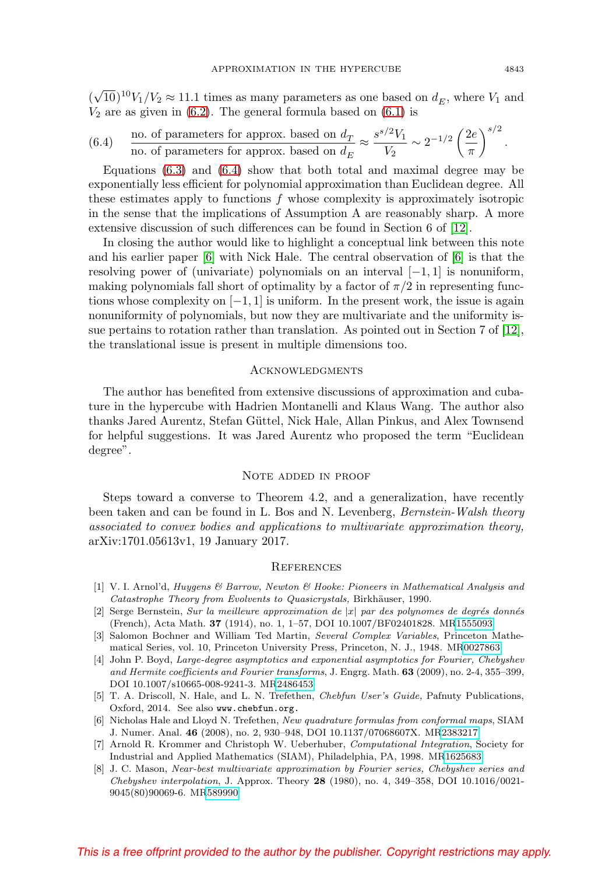$(\sqrt{10})^{10}V_1/V_2 \approx 11.1$  times as many parameters as one based on  $d_E$ , where  $V_1$  and  $V_2$  are as given in [\(6.2\)](#page-5-2). The general formula based on [\(6.1\)](#page-5-3) is

<span id="page-6-6"></span>(6.4) no. of parameters for approx. based on 
$$
d_T
$$
  $\approx \frac{s^{s/2}V_1}{V_2} \sim 2^{-1/2} \left(\frac{2e}{\pi}\right)^{s/2}$ .

Equations  $(6.3)$  and  $(6.4)$  show that both total and maximal degree may be exponentially less efficient for polynomial approximation than Euclidean degree. All these estimates apply to functions  $f$  whose complexity is approximately isotropic in the sense that the implications of Assumption A are reasonably sharp. A more extensive discussion of such differences can be found in Section 6 of [\[12\]](#page-7-0).

In closing the author would like to highlight a conceptual link between this note and his earlier paper [\[6\]](#page-6-7) with Nick Hale. The central observation of [\[6\]](#page-6-7) is that the resolving power of (univariate) polynomials on an interval  $[-1, 1]$  is nonuniform, making polynomials fall short of optimality by a factor of  $\pi/2$  in representing functions whose complexity on  $[-1, 1]$  is uniform. In the present work, the issue is again nonuniformity of polynomials, but now they are multivariate and the uniformity issue pertains to rotation rather than translation. As pointed out in Section 7 of [\[12\]](#page-7-0), the translational issue is present in multiple dimensions too.

#### **ACKNOWLEDGMENTS**

The author has benefited from extensive discussions of approximation and cubature in the hypercube with Hadrien Montanelli and Klaus Wang. The author also thanks Jared Aurentz, Stefan Güttel, Nick Hale, Allan Pinkus, and Alex Townsend for helpful suggestions. It was Jared Aurentz who proposed the term "Euclidean degree".

### NOTE ADDED IN PROOF

Steps toward a converse to Theorem 4.2, and a generalization, have recently been taken and can be found in L. Bos and N. Levenberg, *Bernstein-Walsh theory* associated to convex bodies and applications to multivariate approximation theory, arXiv:1701.05613v1, 19 January 2017.

# **REFERENCES**

- <span id="page-6-2"></span>[1] V. I. Arnol'd, Huygens & Barrow, Newton & Hooke: Pioneers in Mathematical Analysis and Catastrophe Theory from Evolvents to Quasicrystals, Birkhäuser, 1990.
- <span id="page-6-1"></span>[2] Serge Bernstein, Sur la meilleure approximation de  $|x|$  par des polynomes de degrés donnés (French), Acta Math. **37** (1914), no. 1, 1–57, DOI 10.1007/BF02401828. M[R1555093](http://www.ams.org/mathscinet-getitem?mr=1555093)
- <span id="page-6-3"></span>[3] Salomon Bochner and William Ted Martin, Several Complex Variables, Princeton Mathematical Series, vol. 10, Princeton University Press, Princeton, N. J., 1948. M[R0027863](http://www.ams.org/mathscinet-getitem?mr=0027863)
- <span id="page-6-4"></span>[4] John P. Boyd, Large-degree asymptotics and exponential asymptotics for Fourier, Chebyshev and Hermite coefficients and Fourier transforms, J. Engrg. Math. **63** (2009), no. 2-4, 355–399, DOI 10.1007/s10665-008-9241-3. M[R2486453](http://www.ams.org/mathscinet-getitem?mr=2486453)
- [5] T. A. Driscoll, N. Hale, and L. N. Trefethen, Chebfun User's Guide, Pafnuty Publications, Oxford, 2014. See also www.chebfun.org.
- <span id="page-6-7"></span>[6] Nicholas Hale and Lloyd N. Trefethen, New quadrature formulas from conformal maps, SIAM J. Numer. Anal. **46** (2008), no. 2, 930–948, DOI 10.1137/07068607X. M[R2383217](http://www.ams.org/mathscinet-getitem?mr=2383217)
- <span id="page-6-5"></span>[7] Arnold R. Krommer and Christoph W. Ueberhuber, Computational Integration, Society for Industrial and Applied Mathematics (SIAM), Philadelphia, PA, 1998. M[R1625683](http://www.ams.org/mathscinet-getitem?mr=1625683)
- <span id="page-6-0"></span>[8] J. C. Mason, Near-best multivariate approximation by Fourier series, Chebyshev series and Chebyshev interpolation, J. Approx. Theory **28** (1980), no. 4, 349–358, DOI 10.1016/0021- 9045(80)90069-6. M[R589990](http://www.ams.org/mathscinet-getitem?mr=589990)